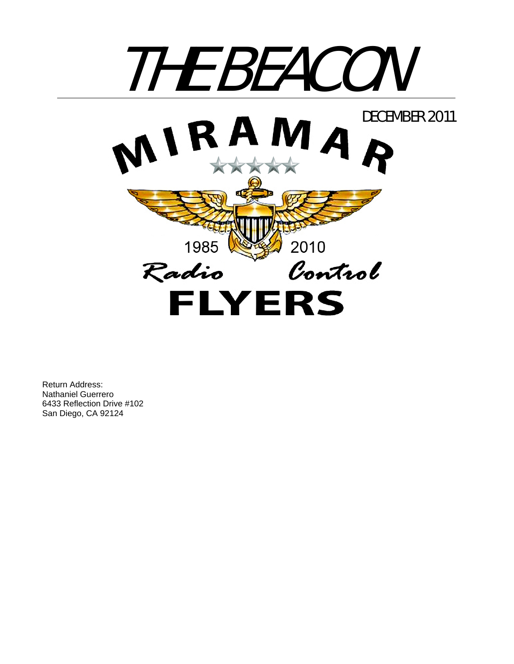

Return Address: Nathaniel Guerrero 6433 Reflection Drive #102 San Diego, CA 92124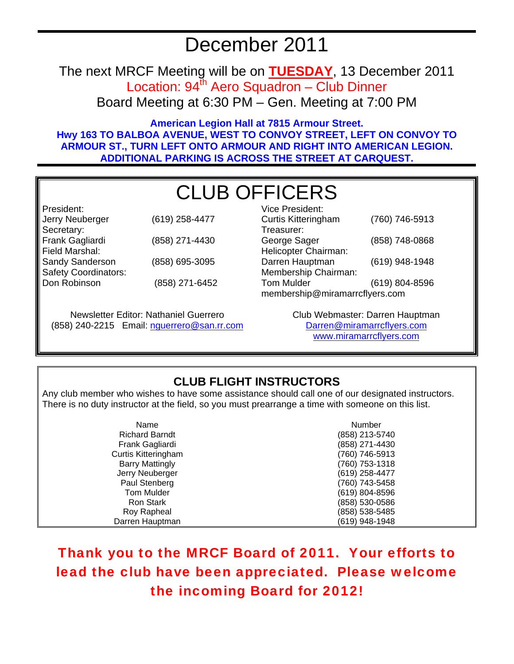# December 2011

The next MRCF Meeting will be on **TUESDAY**, 13 December 2011 Location:  $94^{\text{th}}$  Aero Squadron – Club Dinner Board Meeting at 6:30 PM – Gen. Meeting at 7:00 PM

**American Legion Hall at 7815 Armour Street. Hwy 163 TO BALBOA AVENUE, WEST TO CONVOY STREET, LEFT ON CONVOY TO ARMOUR ST., TURN LEFT ONTO ARMOUR AND RIGHT INTO AMERICAN LEGION. ADDITIONAL PARKING IS ACROSS THE STREET AT CARQUEST.** 

# CLUB OFFICERS

Vice President:

Helicopter Chairman:

Treasurer:

| President:                  |                |
|-----------------------------|----------------|
| Jerry Neuberger             | (619) 258-4477 |
| Secretary:                  |                |
| Frank Gagliardi             | (858) 271-4430 |
| Field Marshal:              |                |
| Sandy Sanderson             | (858) 695-3095 |
| <b>Safety Coordinators:</b> |                |
| Don Robinson                | (858) 271-6452 |
|                             |                |

Newsletter Editor: Nathaniel Guerrero (858) 240-2215 Email: nguerrero@san.rr.com

Darren Hauptman (619) 948-1948 Membership Chairman: Tom Mulder (619) 804-8596 membership@miramarrcflyers.com

Curtis Kitteringham (760) 746-5913

George Sager (858) 748-0868

Club Webmaster: Darren Hauptman Darren@miramarrcflyers.com www.miramarrcflyers.com

## **CLUB FLIGHT INSTRUCTORS**

Any club member who wishes to have some assistance should call one of our designated instructors. There is no duty instructor at the field, so you must prearrange a time with someone on this list.

| Name                       | Number         |
|----------------------------|----------------|
| <b>Richard Barndt</b>      | (858) 213-5740 |
| Frank Gagliardi            | (858) 271-4430 |
| <b>Curtis Kitteringham</b> | (760) 746-5913 |
| <b>Barry Mattingly</b>     | (760) 753-1318 |
| Jerry Neuberger            | (619) 258-4477 |
| Paul Stenberg              | (760) 743-5458 |
| <b>Tom Mulder</b>          | (619) 804-8596 |
| Ron Stark                  | (858) 530-0586 |
| Roy Rapheal                | (858) 538-5485 |
| Darren Hauptman            | (619) 948-1948 |

Thank you to the MRCF Board of 2011. Your efforts to lead the club have been appreciated. Please welcome the incoming Board for 2012!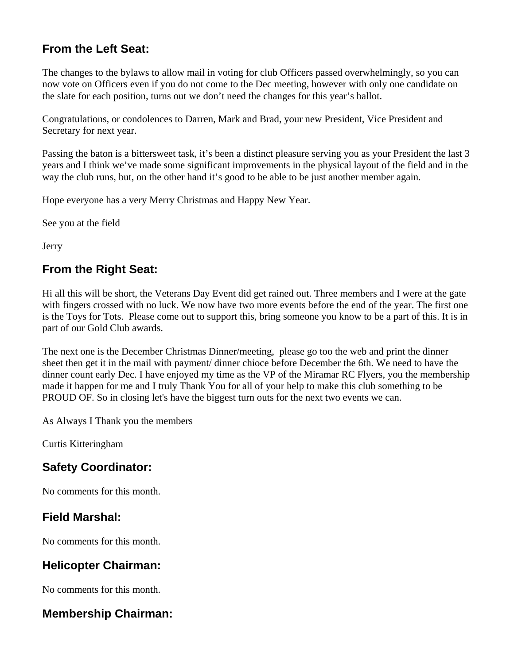## **From the Left Seat:**

The changes to the bylaws to allow mail in voting for club Officers passed overwhelmingly, so you can now vote on Officers even if you do not come to the Dec meeting, however with only one candidate on the slate for each position, turns out we don't need the changes for this year's ballot.

Congratulations, or condolences to Darren, Mark and Brad, your new President, Vice President and Secretary for next year.

Passing the baton is a bittersweet task, it's been a distinct pleasure serving you as your President the last 3 years and I think we've made some significant improvements in the physical layout of the field and in the way the club runs, but, on the other hand it's good to be able to be just another member again.

Hope everyone has a very Merry Christmas and Happy New Year.

See you at the field

Jerry

## **From the Right Seat:**

Hi all this will be short, the Veterans Day Event did get rained out. Three members and I were at the gate with fingers crossed with no luck. We now have two more events before the end of the year. The first one is the Toys for Tots. Please come out to support this, bring someone you know to be a part of this. It is in part of our Gold Club awards.

The next one is the December Christmas Dinner/meeting, please go too the web and print the dinner sheet then get it in the mail with payment/ dinner chioce before December the 6th. We need to have the dinner count early Dec. I have enjoyed my time as the VP of the Miramar RC Flyers, you the membership made it happen for me and I truly Thank You for all of your help to make this club something to be PROUD OF. So in closing let's have the biggest turn outs for the next two events we can.

As Always I Thank you the members

Curtis Kitteringham

## **Safety Coordinator:**

No comments for this month.

## **Field Marshal:**

No comments for this month.

## **Helicopter Chairman:**

No comments for this month.

## **Membership Chairman:**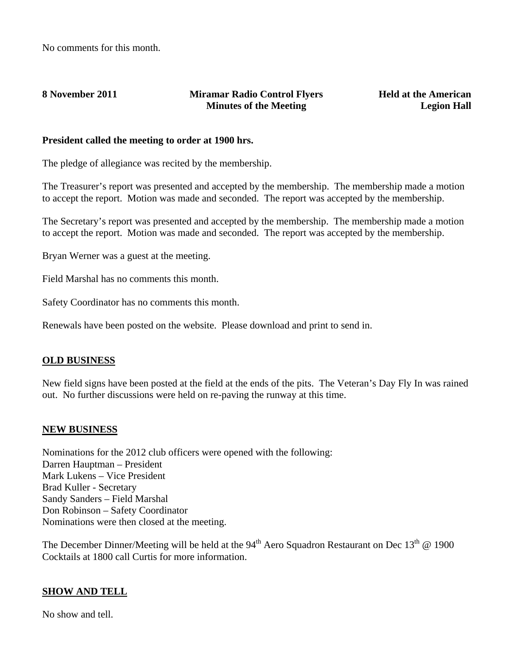#### **8 November 2011 Miramar Radio Control Flyers Minutes of the Meeting**

**Held at the American Legion Hall**

#### **President called the meeting to order at 1900 hrs.**

The pledge of allegiance was recited by the membership.

The Treasurer's report was presented and accepted by the membership. The membership made a motion to accept the report. Motion was made and seconded. The report was accepted by the membership.

The Secretary's report was presented and accepted by the membership. The membership made a motion to accept the report. Motion was made and seconded. The report was accepted by the membership.

Bryan Werner was a guest at the meeting.

Field Marshal has no comments this month.

Safety Coordinator has no comments this month.

Renewals have been posted on the website. Please download and print to send in.

#### **OLD BUSINESS**

New field signs have been posted at the field at the ends of the pits. The Veteran's Day Fly In was rained out. No further discussions were held on re-paving the runway at this time.

#### **NEW BUSINESS**

Nominations for the 2012 club officers were opened with the following: Darren Hauptman – President Mark Lukens – Vice President Brad Kuller - Secretary Sandy Sanders – Field Marshal Don Robinson – Safety Coordinator Nominations were then closed at the meeting.

The December Dinner/Meeting will be held at the 94<sup>th</sup> Aero Squadron Restaurant on Dec 13<sup>th</sup> @ 1900 Cocktails at 1800 call Curtis for more information.

#### **SHOW AND TELL**

No show and tell.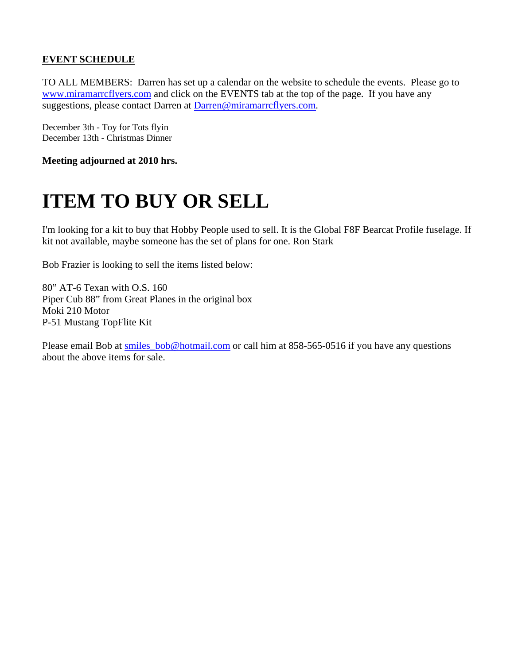### **EVENT SCHEDULE**

TO ALL MEMBERS: Darren has set up a calendar on the website to schedule the events. Please go to www.miramarrcflyers.com and click on the EVENTS tab at the top of the page. If you have any suggestions, please contact Darren at Darren@miramarrcflyers.com.

December 3th - Toy for Tots flyin December 13th - Christmas Dinner

**Meeting adjourned at 2010 hrs.** 

# **ITEM TO BUY OR SELL**

I'm looking for a kit to buy that Hobby People used to sell. It is the Global F8F Bearcat Profile fuselage. If kit not available, maybe someone has the set of plans for one. Ron Stark

Bob Frazier is looking to sell the items listed below:

80" AT-6 Texan with O.S. 160 Piper Cub 88" from Great Planes in the original box Moki 210 Motor P-51 Mustang TopFlite Kit

Please email Bob at smiles\_bob@hotmail.com or call him at 858-565-0516 if you have any questions about the above items for sale.